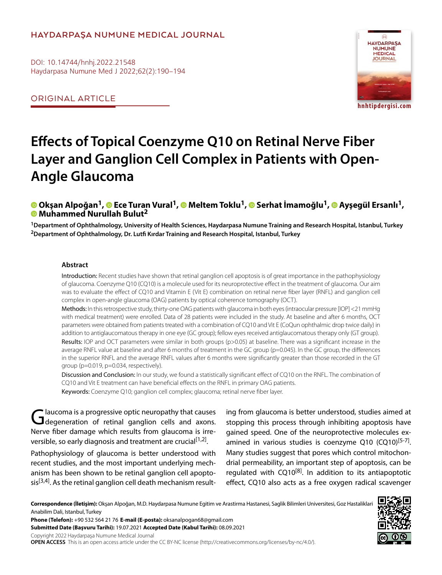#### **HAYDARPAŞA NUMUNE MEDICAL JOURNAL**

DOI: 10.14744/hnhj.2022.21548 Haydarpasa Numune Med J 2022;62(2):190–194

ORIGINAL ARTICLE



# **Effects of Topical Coenzyme Q10 on Retinal Nerve Fiber Layer and Ganglion Cell Complex in Patients with Open-Angle Glaucoma**

# **©** Okşan Alpoğan<sup>1</sup>, **©** Ece Turan Vural<sup>1</sup>, © Meltem Toklu<sup>1</sup>, © Serhat İmamoğlu<sup>1</sup>, © Ayşegül Ersanlı<sup>1</sup>,<br>© Muhammed Nurullah Bulut<sup>2</sup>

**1Department of Ophthalmology, University of Health Sciences, Haydarpasa Numune Training and Research Hospital, Istanbul, Turkey 2Department of Ophthalmology, Dr. Lutfi Kırdar Training and Research Hospital, Istanbul, Turkey**

#### **Abstract**

Introduction: Recent studies have shown that retinal ganglion cell apoptosis is of great importance in the pathophysiology of glaucoma. Coenzyme Q10 (CQ10) is a molecule used for its neuroprotective effect in the treatment of glaucoma. Our aim was to evaluate the effect of CQ10 and Vitamin E (Vit E) combination on retinal nerve fiber layer (RNFL) and ganglion cell complex in open-angle glaucoma (OAG) patients by optical coherence tomography (OCT).

Methods: In this retrospective study, thirty-one OAG patients with glaucoma in both eyes (intraocular pressure [IOP] <21 mmHg with medical treatment) were enrolled. Data of 28 patients were included in the study. At baseline and after 6 months, OCT parameters were obtained from patients treated with a combination of CQ10 and Vit E (CoQun ophthalmic drop twice daily) in addition to antiglaucomatous therapy in one eye (GC group); fellow eyes received antiglaucomatous therapy only (GT group). Results: IOP and OCT parameters were similar in both groups (p>0.05) at baseline. There was a significant increase in the average RNFL value at baseline and after 6 months of treatment in the GC group (p=0.045). In the GC group, the differences in the superior RNFL and the average RNFL values after 6 months were significantly greater than those recorded in the GT group (p=0.019, p=0.034, respectively).

Discussion and Conclusion: In our study, we found a statistically significant effect of CQ10 on the RNFL. The combination of CQ10 and Vit E treatment can have beneficial effects on the RNFL in primary OAG patients. Keywords: Coenzyme Q10; ganglion cell complex; glaucoma; retinal nerve fiber layer.

Glaucoma is a progressive optic neuropathy that causes<br>Glageneration of retinal ganglion cells and axons. Nerve fiber damage which results from glaucoma is irreversible, so early diagnosis and treatment are crucial<sup>[1,2]</sup>.

Pathophysiology of glaucoma is better understood with recent studies, and the most important underlying mechanism has been shown to be retinal ganglion cell apopto $sis<sup>[3,4]</sup>$ . As the retinal ganglion cell death mechanism resulting from glaucoma is better understood, studies aimed at stopping this process through inhibiting apoptosis have gained speed. One of the neuroprotective molecules examined in various studies is coenzyme Q10  $(CQ10)^{[5-7]}$ . Many studies suggest that pores which control mitochondrial permeability, an important step of apoptosis, can be regulated with  $CQ10^{[8]}$ . In addition to its antiapoptotic effect, CQ10 also acts as a free oxygen radical scavenger

**Correspondence (İletişim):** Okşan Alpoğan, M.D. Haydarpasa Numune Egitim ve Arastirma Hastanesi, Saglik Bilimleri Universitesi, Goz Hastaliklari Anabilim Dali, Istanbul, Turkey

**Phone (Telefon):** +90 532 564 21 76 **E-mail (E-posta):** oksanalpogan68@gmail.com **Submitted Date (Başvuru Tarihi):** 19.07.2021 **Accepted Date (Kabul Tarihi):** 08.09.2021 Copyright 2022 Haydarpaşa Numune Medical Journal

**OPEN ACCESS** This is an open access article under the CC BY-NC license (http://creativecommons.org/licenses/by-nc/4.0/).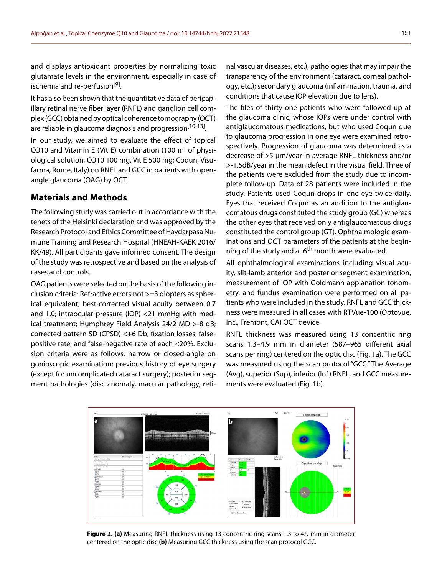and displays antioxidant properties by normalizing toxic glutamate levels in the environment, especially in case of ischemia and re-perfusion<sup>[9]</sup>.

It has also been shown that the quantitative data of peripapillary retinal nerve fiber layer (RNFL) and ganglion cell complex (GCC) obtained by optical coherence tomography (OCT) are reliable in glaucoma diagnosis and progression<sup>[10-13]</sup>.

In our study, we aimed to evaluate the effect of topical CQ10 and Vitamin E (Vit E) combination (100 ml of physiological solution, CQ10 100 mg, Vit E 500 mg; Coqun, Visufarma, Rome, Italy) on RNFL and GCC in patients with openangle glaucoma (OAG) by OCT.

#### **Materials and Methods**

The following study was carried out in accordance with the tenets of the Helsinki declaration and was approved by the Research Protocol and Ethics Committee of Haydarpasa Numune Training and Research Hospital (HNEAH-KAEK 2016/ KK/49). All participants gave informed consent. The design of the study was retrospective and based on the analysis of cases and controls.

OAG patients were selected on the basis of the following inclusion criteria: Refractive errors not >±3 diopters as spherical equivalent; best-corrected visual acuity between 0.7 and 1.0; intraocular pressure (IOP) <21 mmHg with medical treatment; Humphrey Field Analysis 24/2 MD >-8 dB; corrected pattern SD (CPSD) <+6 Db; fixation losses, falsepositive rate, and false-negative rate of each <20%. Exclusion criteria were as follows: narrow or closed-angle on gonioscopic examination; previous history of eye surgery (except for uncomplicated cataract surgery); posterior segment pathologies (disc anomaly, macular pathology, reti-

nal vascular diseases, etc.); pathologies that may impair the transparency of the environment (cataract, corneal pathology, etc.); secondary glaucoma (inflammation, trauma, and conditions that cause IOP elevation due to lens).

The files of thirty-one patients who were followed up at the glaucoma clinic, whose IOPs were under control with antiglaucomatous medications, but who used Coqun due to glaucoma progression in one eye were examined retrospectively. Progression of glaucoma was determined as a decrease of >5 µm/year in average RNFL thickness and/or >-1.5dB/year in the mean defect in the visual field. Three of the patients were excluded from the study due to incomplete follow-up. Data of 28 patients were included in the study. Patients used Coqun drops in one eye twice daily. Eyes that received Coqun as an addition to the antiglaucomatous drugs constituted the study group (GC) whereas the other eyes that received only antiglaucomatous drugs constituted the control group (GT). Ophthalmologic examinations and OCT parameters of the patients at the beginning of the study and at  $6<sup>th</sup>$  month were evaluated.

All ophthalmological examinations including visual acuity, slit-lamb anterior and posterior segment examination, measurement of IOP with Goldmann applanation tonometry, and fundus examination were performed on all patients who were included in the study. RNFL and GCC thickness were measured in all cases with RTVue-100 (Optovue, Inc., Fremont, CA) OCT device.

RNFL thickness was measured using 13 concentric ring scans 1.3–4.9 mm in diameter (587–965 different axial scans per ring) centered on the optic disc (Fig. 1a). The GCC was measured using the scan protocol "GCC." The Average (Avg), superior (Sup), inferior (Inf) RNFL, and GCC measurements were evaluated (Fig. 1b).



**Figure 2. (a)** Measuring RNFL thickness using 13 concentric ring scans 1.3 to 4.9 mm in diameter centered on the optic disc **(b)** Measuring GCC thickness using the scan protocol GCC.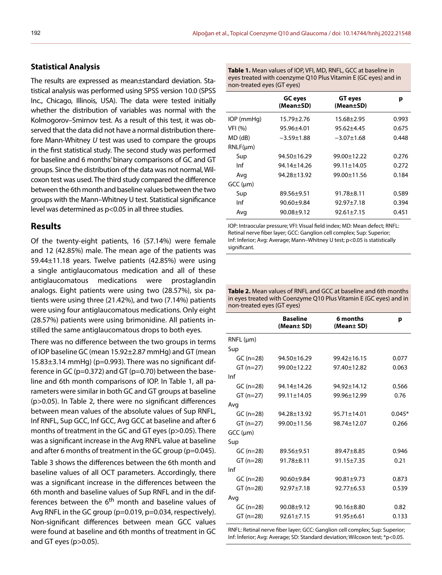#### **Statistical Analysis**

The results are expressed as mean±standard deviation. Statistical analysis was performed using SPSS version 10.0 (SPSS Inc., Chicago, Illinois, USA). The data were tested initially whether the distribution of variables was normal with the Kolmogorov–Smirnov test. As a result of this test, it was observed that the data did not have a normal distribution therefore Mann-Whitney *U* test was used to compare the groups in the first statistical study. The second study was performed for baseline and 6 months' binary comparisons of GC and GT groups. Since the distribution of the data was not normal, Wilcoxon test was used. The third study compared the difference between the 6th month and baseline values between the two groups with the Mann–Whitney U test. Statistical significance level was determined as p<0.05 in all three studies.

#### **Results**

Of the twenty-eight patients, 16 (57.14%) were female and 12 (42.85%) male. The mean age of the patients was 59.44±11.18 years. Twelve patients (42.85%) were using a single antiglaucomatous medication and all of these antiglaucomatous medications were prostaglandin analogs. Eight patients were using two (28.57%), six patients were using three (21.42%), and two (7.14%) patients were using four antiglaucomatous medications. Only eight (28.57%) patients were using brimonidine. All patients instilled the same antiglaucomatous drops to both eyes.

There was no difference between the two groups in terms of IOP baseline GC (mean 15.92±2.87 mmHg) and GT (mean  $15.83\pm3.14$  mmHg) (p=0.993). There was no significant difference in GC (p=0.372) and GT (p=0.70) between the baseline and 6th month comparisons of IOP. In Table 1, all parameters were similar in both GC and GT groups at baseline (p>0.05). In Table 2, there were no significant differences between mean values of the absolute values of Sup RNFL, Inf RNFL, Sup GCC, Inf GCC, Avg GCC at baseline and after 6 months of treatment in the GC and GT eyes (p>0.05). There was a significant increase in the Avg RNFL value at baseline and after 6 months of treatment in the GC group (p=0.045). Table 3 shows the differences between the 6th month and baseline values of all OCT parameters. Accordingly, there was a significant increase in the differences between the 6th month and baseline values of Sup RNFL and in the differences between the 6<sup>th</sup> month and baseline values of Avg RNFL in the GC group (p=0.019, p=0.034, respectively). Non-significant differences between mean GCC values were found at baseline and 6th months of treatment in GC and GT eyes (p>0.05).

| Table 1. Mean values of IOP, VFI, MD, RNFL, GCC at baseline in |
|----------------------------------------------------------------|
| eyes treated with coenzyme Q10 Plus Vitamin E (GC eyes) and in |
| non-treated eyes (GT eyes)                                     |

|                  | <b>GC</b> eyes<br>(Mean±SD) | <b>GT</b> eyes<br>(Mean±SD) | р     |
|------------------|-----------------------------|-----------------------------|-------|
| IOP (mmHg)       | $15.79 \pm 2.76$            | 15.68±2.95                  | 0.993 |
| VFI (%)          | 95.96±4.01                  | $95.62 + 4.45$              | 0.675 |
| $MD$ ( $dB$ )    | $-3.59 \pm 1.88$            | $-3.07 \pm 1.68$            | 0.448 |
| $RNLF(\mu m)$    |                             |                             |       |
| Sup              | $94.50 \pm 16.29$           | $99.00 \pm 12.22$           | 0.276 |
| Inf              | 94.14+14.26                 | $99.11 \pm 14.05$           | 0.272 |
| Avg              | 94.28±13.92                 | 99.00±11.56                 | 0.184 |
| $GCC$ ( $\mu$ m) |                             |                             |       |
| Sup              | $89.56 \pm 9.51$            | $91.78 + 8.11$              | 0.589 |
| Inf              | $90.60 + 9.84$              | $92.97 + 7.18$              | 0.394 |
| Avg              | $90.08 + 9.12$              | $92.61 \pm 7.15$            | 0.451 |

IOP: Intraocular pressure; VFI: Visual field index; MD: Mean defect; RNFL: Retinal nerve fiber layer; GCC: Ganglion cell complex; Sup: Superior; Inf: Inferior; Avg: Average; Mann–Whitney U test; p<0.05 is statistically significant.

| <b>Table 2.</b> Mean values of RNFL and GCC at baseline and 6th months |
|------------------------------------------------------------------------|
| in eyes treated with Coenzyme Q10 Plus Vitamin E (GC eyes) and in      |
| non-treated eyes (GT eyes)                                             |

|                  | <b>Baseline</b><br>(Mean± SD) | 6 months<br>(Mean± SD) | р        |
|------------------|-------------------------------|------------------------|----------|
| RNFL (µm)        |                               |                        |          |
| Sup              |                               |                        |          |
| $GC (n=28)$      | $94.50 \pm 16.29$             | $99.42 + 16.15$        | 0.077    |
| $GT(n=27)$       | 99.00±12.22                   | $97.40 \pm 12.82$      | 0.063    |
| Inf              |                               |                        |          |
| $GC(n=28)$       | 94.14±14.26                   | 94.92±14.12            | 0.566    |
| $GT(n=27)$       | 99.11±14.05                   | 99.96±12.99            | 0.76     |
| Avg              |                               |                        |          |
| $GC (n=28)$      | 94.28±13.92                   | $95.71 \pm 14.01$      | $0.045*$ |
| $GT(n=27)$       | 99.00±11.56                   | 98.74±12.07            | 0.266    |
| $GCC$ ( $\mu$ m) |                               |                        |          |
| Sup              |                               |                        |          |
| $GC(n=28)$       | 89.56±9.51                    | $89.47 + 8.85$         | 0.946    |
| $GT(n=28)$       | 91.78±8.11                    | $91.15 \pm 7.35$       | 0.21     |
| Inf              |                               |                        |          |
| $GC (n=28)$      | $90.60 + 9.84$                | $90.81 + 9.73$         | 0.873    |
| $GT(n=28)$       | $92.97 + 7.18$                | $92.77 + 6.53$         | 0.539    |
| Avg              |                               |                        |          |
| $GC (n=28)$      | $90.08 + 9.12$                | $90.16 \pm 8.80$       | 0.82     |
| $GT(n=28)$       | $92.61 \pm 7.15$              | $91.95 \pm 6.61$       | 0.133    |
|                  |                               |                        |          |

RNFL: Retinal nerve fiber layer; GCC: Ganglion cell complex; Sup: Superior; Inf: İnferior; Avg: Average; SD: Standard deviation; Wilcoxon test; \*p<0.05.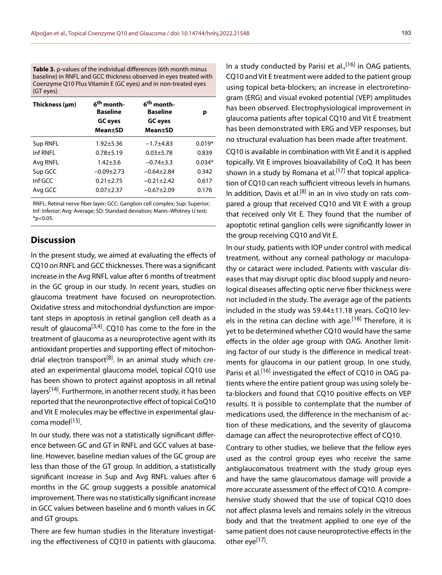**Table 3.** p-values of the individual differences (6th month minus baseline) in RNFL and GCC thickness observed in eyes treated with Coenzyme Q10 Plus Vitamin E (GC eyes) and in non-treated eyes (GT eyes)

| Thickness (µm) | 6 <sup>th</sup> month-<br><b>Baseline</b> | 6 <sup>th</sup> month-<br><b>Baseline</b> | р        |
|----------------|-------------------------------------------|-------------------------------------------|----------|
|                | <b>GC</b> eyes                            | <b>GC</b> eyes                            |          |
|                | <b>Mean</b> ±SD                           | <b>Mean</b> ±SD                           |          |
| Sup RNFL       | $1.92 + 5.36$                             | $-1.7 + 4.83$                             | $0.019*$ |
| Inf RNFI       | $0.78 + 5.19$                             | $0.03 + 5.78$                             | 0.839    |
| Avg RNFL       | $1.42 \pm 3.6$                            | $-0.74\pm3.3$                             | $0.034*$ |
| Sup GCC        | $-0.09\pm2.73$                            | $-0.64 + 2.84$                            | 0.342    |
| Inf GCC        | $0.21 + 2.75$                             | $-0.21 \pm 2.42$                          | 0.617    |
| Avg GCC        | $0.07 + 2.37$                             | $-0.67 + 2.09$                            | 0.176    |

RNFL: Retinal nerve fiber layer; GCC: Ganglion cell complex; Sup: Superior; Inf: Inferior; Avg: Average; SD: Standard deviation; Mann–Whitney U test;  $*p<0.05$ .

### **Discussion**

In the present study, we aimed at evaluating the effects of CQ10 on RNFL and GCC thicknesses. There was a significant increase in the Avg RNFL value after 6 months of treatment in the GC group in our study. In recent years, studies on glaucoma treatment have focused on neuroprotection. Oxidative stress and mitochondrial dysfunction are important steps in apoptosis in retinal ganglion cell death as a result of glaucoma<sup>[3,4]</sup>. CQ10 has come to the fore in the treatment of glaucoma as a neuroprotective agent with its antioxidant properties and supporting effect of mitochondrial electron transport<sup>[8]</sup>. In an animal study which created an experimental glaucoma model, topical CQ10 use has been shown to protect against apoptosis in all retinal layers<sup>[14]</sup>. Furthermore, in another recent study, it has been reported that the neuronprotective effect of topical CoQ10 and Vit E molecules may be effective in experimental glaucoma model<sup>[15]</sup>.

In our study, there was not a statistically significant difference between GC and GT in RNFL and GCC values at baseline. However, baseline median values of the GC group are less than those of the GT group. In addition, a statistically significant increase in Sup and Avg RNFL values after 6 months in the GC group suggests a possible anatomical improvement. There was no statistically significant increase in GCC values between baseline and 6 month values in GC and GT groups.

There are few human studies in the literature investigating the effectiveness of CQ10 in patients with glaucoma. In a study conducted by Parisi et al.,  $[16]$  in OAG patients, CQ10 and Vit E treatment were added to the patient group using topical beta-blockers; an increase in electroretinogram (ERG) and visual evoked potential (VEP) amplitudes has been observed. Electrophysiological improvement in glaucoma patients after topical CQ10 and Vit E treatment has been demonstrated with ERG and VEP responses, but no structural evaluation has been made after treatment.

CQ10 is available in combination with Vit E and it is applied topically. Vit E improves bioavailability of CoQ. It has been shown in a study by Romana et al.<sup>[17]</sup> that topical application of CQ10 can reach sufficient vitreous levels in humans. In addition, Davis et al.<sup>[8]</sup> in an in vivo study on rats compared a group that received CQ10 and Vit E with a group that received only Vit E. They found that the number of apoptotic retinal ganglion cells were significantly lower in the group receiving CQ10 and Vit E.

In our study, patients with IOP under control with medical treatment, without any corneal pathology or maculopathy or cataract were included. Patients with vascular diseases that may disrupt optic disc blood supply and neurological diseases affecting optic nerve fiber thickness were not included in the study. The average age of the patients included in the study was 59.44±11.18 years. CoQ10 levels in the retina can decline with age.<sup>[18]</sup> Therefore, it is yet to be determined whether CQ10 would have the same effects in the older age group with OAG. Another limiting factor of our study is the difference in medical treatments for glaucoma in our patient group. In one study, Parisi et al.<sup>[16]</sup> investigated the effect of CQ10 in OAG patients where the entire patient group was using solely beta-blockers and found that CQ10 positive effects on VEP results. It is possible to contemplate that the number of medications used, the difference in the mechanism of action of these medications, and the severity of glaucoma damage can affect the neuroprotective effect of CQ10.

Contrary to other studies, we believe that the fellow eyes used as the control group eyes who receive the same antiglaucomatous treatment with the study group eyes and have the same glaucomatous damage will provide a more accurate assessment of the effect of CQ10. A comprehensive study showed that the use of topical CQ10 does not affect plasma levels and remains solely in the vitreous body and that the treatment applied to one eye of the same patient does not cause neuroprotective effects in the other eye<sup>[17]</sup>.